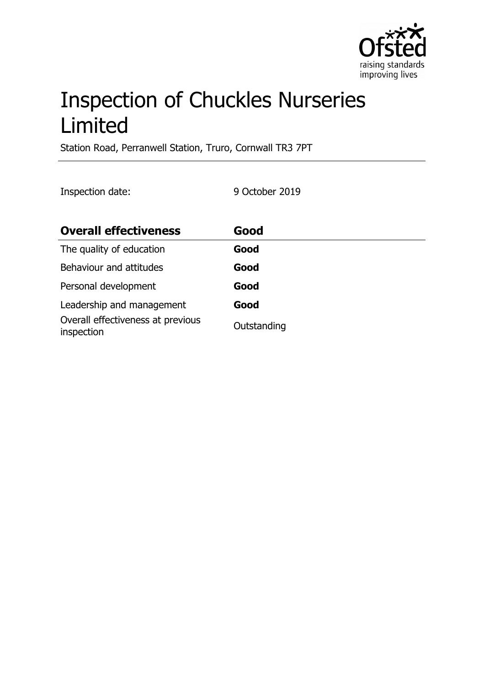

# Inspection of Chuckles Nurseries Limited

Station Road, Perranwell Station, Truro, Cornwall TR3 7PT

Inspection date: 9 October 2019

| <b>Overall effectiveness</b>                    | Good        |
|-------------------------------------------------|-------------|
| The quality of education                        | Good        |
| Behaviour and attitudes                         | Good        |
| Personal development                            | Good        |
| Leadership and management                       | Good        |
| Overall effectiveness at previous<br>inspection | Outstanding |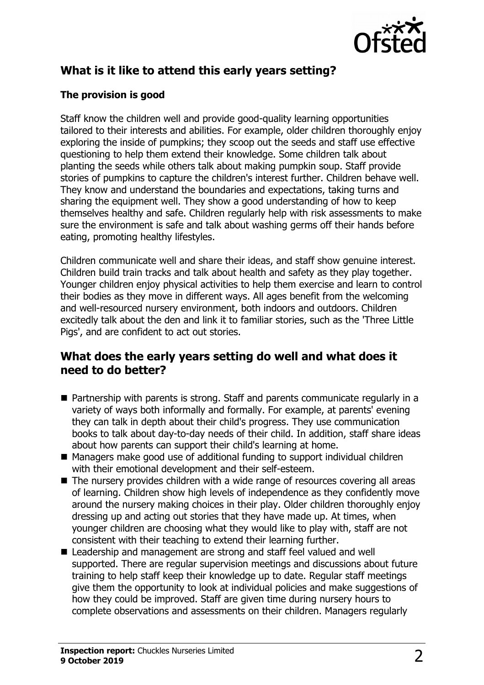

# **What is it like to attend this early years setting?**

### **The provision is good**

Staff know the children well and provide good-quality learning opportunities tailored to their interests and abilities. For example, older children thoroughly enjoy exploring the inside of pumpkins; they scoop out the seeds and staff use effective questioning to help them extend their knowledge. Some children talk about planting the seeds while others talk about making pumpkin soup. Staff provide stories of pumpkins to capture the children's interest further. Children behave well. They know and understand the boundaries and expectations, taking turns and sharing the equipment well. They show a good understanding of how to keep themselves healthy and safe. Children regularly help with risk assessments to make sure the environment is safe and talk about washing germs off their hands before eating, promoting healthy lifestyles.

Children communicate well and share their ideas, and staff show genuine interest. Children build train tracks and talk about health and safety as they play together. Younger children enjoy physical activities to help them exercise and learn to control their bodies as they move in different ways. All ages benefit from the welcoming and well-resourced nursery environment, both indoors and outdoors. Children excitedly talk about the den and link it to familiar stories, such as the 'Three Little Pigs', and are confident to act out stories.

## **What does the early years setting do well and what does it need to do better?**

- $\blacksquare$  Partnership with parents is strong. Staff and parents communicate regularly in a variety of ways both informally and formally. For example, at parents' evening they can talk in depth about their child's progress. They use communication books to talk about day-to-day needs of their child. In addition, staff share ideas about how parents can support their child's learning at home.
- Managers make good use of additional funding to support individual children with their emotional development and their self-esteem.
- $\blacksquare$  The nursery provides children with a wide range of resources covering all areas of learning. Children show high levels of independence as they confidently move around the nursery making choices in their play. Older children thoroughly enjoy dressing up and acting out stories that they have made up. At times, when younger children are choosing what they would like to play with, staff are not consistent with their teaching to extend their learning further.
- Leadership and management are strong and staff feel valued and well supported. There are regular supervision meetings and discussions about future training to help staff keep their knowledge up to date. Regular staff meetings give them the opportunity to look at individual policies and make suggestions of how they could be improved. Staff are given time during nursery hours to complete observations and assessments on their children. Managers regularly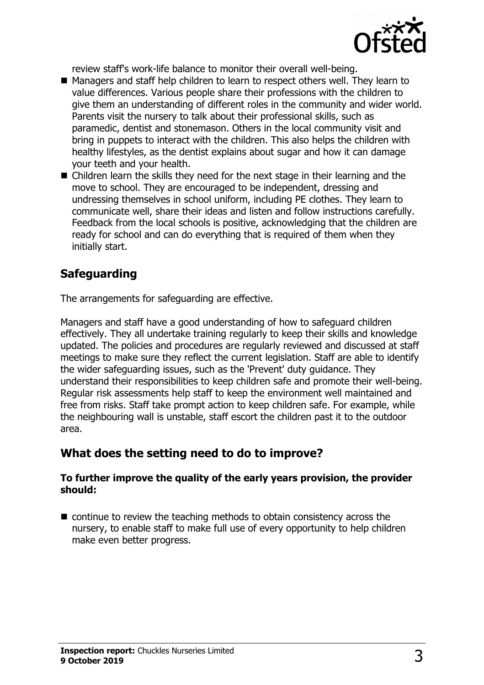

review staff's work-life balance to monitor their overall well-being.

- Managers and staff help children to learn to respect others well. They learn to value differences. Various people share their professions with the children to give them an understanding of different roles in the community and wider world. Parents visit the nursery to talk about their professional skills, such as paramedic, dentist and stonemason. Others in the local community visit and bring in puppets to interact with the children. This also helps the children with healthy lifestyles, as the dentist explains about sugar and how it can damage your teeth and your health.
- $\blacksquare$  Children learn the skills they need for the next stage in their learning and the move to school. They are encouraged to be independent, dressing and undressing themselves in school uniform, including PE clothes. They learn to communicate well, share their ideas and listen and follow instructions carefully. Feedback from the local schools is positive, acknowledging that the children are ready for school and can do everything that is required of them when they initially start.

# **Safeguarding**

The arrangements for safeguarding are effective.

Managers and staff have a good understanding of how to safeguard children effectively. They all undertake training regularly to keep their skills and knowledge updated. The policies and procedures are regularly reviewed and discussed at staff meetings to make sure they reflect the current legislation. Staff are able to identify the wider safeguarding issues, such as the 'Prevent' duty guidance. They understand their responsibilities to keep children safe and promote their well-being. Regular risk assessments help staff to keep the environment well maintained and free from risks. Staff take prompt action to keep children safe. For example, while the neighbouring wall is unstable, staff escort the children past it to the outdoor area.

## **What does the setting need to do to improve?**

#### **To further improve the quality of the early years provision, the provider should:**

 $\blacksquare$  continue to review the teaching methods to obtain consistency across the nursery, to enable staff to make full use of every opportunity to help children make even better progress.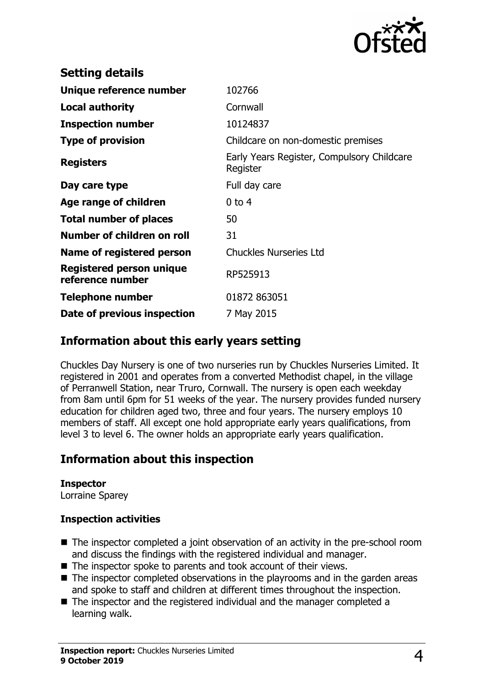

| <b>Setting details</b>                              |                                                        |
|-----------------------------------------------------|--------------------------------------------------------|
| Unique reference number                             | 102766                                                 |
| <b>Local authority</b>                              | Cornwall                                               |
| <b>Inspection number</b>                            | 10124837                                               |
| <b>Type of provision</b>                            | Childcare on non-domestic premises                     |
| <b>Registers</b>                                    | Early Years Register, Compulsory Childcare<br>Register |
| Day care type                                       | Full day care                                          |
| Age range of children                               | $0$ to 4                                               |
| <b>Total number of places</b>                       | 50                                                     |
| Number of children on roll                          | 31                                                     |
| Name of registered person                           | <b>Chuckles Nurseries Ltd</b>                          |
| <b>Registered person unique</b><br>reference number | RP525913                                               |
| Telephone number                                    | 01872 863051                                           |
| Date of previous inspection                         | 7 May 2015                                             |

## **Information about this early years setting**

Chuckles Day Nursery is one of two nurseries run by Chuckles Nurseries Limited. It registered in 2001 and operates from a converted Methodist chapel, in the village of Perranwell Station, near Truro, Cornwall. The nursery is open each weekday from 8am until 6pm for 51 weeks of the year. The nursery provides funded nursery education for children aged two, three and four years. The nursery employs 10 members of staff. All except one hold appropriate early years qualifications, from level 3 to level 6. The owner holds an appropriate early years qualification.

## **Information about this inspection**

#### **Inspector**

Lorraine Sparey

## **Inspection activities**

- $\blacksquare$  The inspector completed a joint observation of an activity in the pre-school room and discuss the findings with the registered individual and manager.
- $\blacksquare$  The inspector spoke to parents and took account of their views.
- $\blacksquare$  The inspector completed observations in the playrooms and in the garden areas and spoke to staff and children at different times throughout the inspection.
- $\blacksquare$  The inspector and the registered individual and the manager completed a learning walk.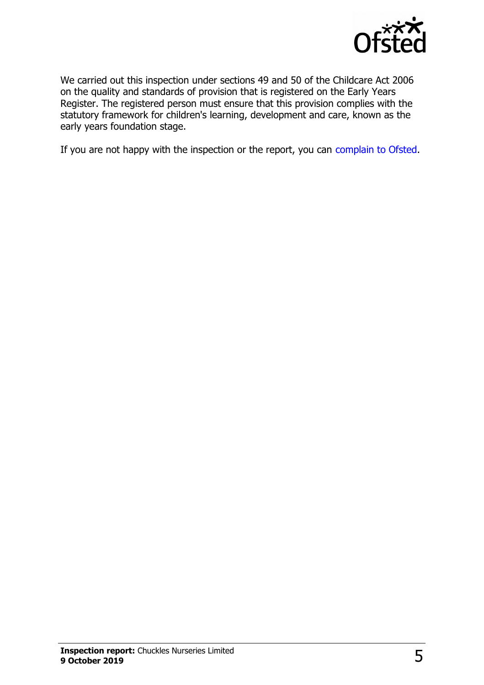

We carried out this inspection under sections 49 and 50 of the Childcare Act 2006 on the quality and standards of provision that is registered on the Early Years Register. The registered person must ensure that this provision complies with the statutory framework for children's learning, development and care, known as the early years foundation stage.

If you are not happy with the inspection or the report, you can [complain to Ofsted.](http://www.gov.uk/complain-ofsted-report)